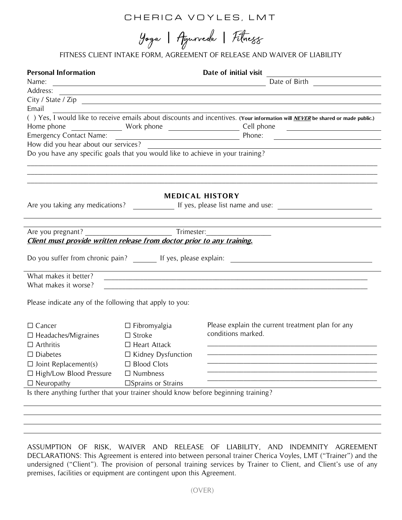# CHERICA VOYLES, LMT

Yoga | Agurveda | Filmegg

FITNESS CLIENT INTAKE FORM, AGREEMENT OF RELEASE AND WAIVER OF LIABILITY

| <b>Personal Information</b>                                                        |                              | Date of initial visit                                                                                                                                                                                                                         |  |
|------------------------------------------------------------------------------------|------------------------------|-----------------------------------------------------------------------------------------------------------------------------------------------------------------------------------------------------------------------------------------------|--|
|                                                                                    |                              | Name: Date of Birth Date of Birth Date of Birth Date of Birth Date of Birth Date of Birth Date of Birth District Property of Birth District Property of Birth District Property of Birth District Property of Birth District P                |  |
|                                                                                    |                              |                                                                                                                                                                                                                                               |  |
| City / State / Zip                                                                 |                              |                                                                                                                                                                                                                                               |  |
| Email                                                                              |                              |                                                                                                                                                                                                                                               |  |
|                                                                                    |                              | () Yes, I would like to receive emails about discounts and incentives. (Your information will <i>NEVER</i> be shared or made public.)                                                                                                         |  |
|                                                                                    |                              |                                                                                                                                                                                                                                               |  |
|                                                                                    |                              | Emergency Contact Name: <u>Intervences?</u> Phone: Phone: <u>Intervencence Phone:</u> Phone: All providing volume and you hear about our services? <u>Intervencence of the services</u> of the services of the services of the services of th |  |
|                                                                                    |                              |                                                                                                                                                                                                                                               |  |
| Do you have any specific goals that you would like to achieve in your training?    |                              |                                                                                                                                                                                                                                               |  |
|                                                                                    |                              | ,我们也不能在这里的人,我们也不能在这里的人,我们也不能不能不能不能不能不能不能不能不能不能不能不能不能不能。""我们,我们也不能不能不能不能不能不能不能不能不                                                                                                                                                              |  |
|                                                                                    |                              |                                                                                                                                                                                                                                               |  |
|                                                                                    |                              | <b>MEDICAL HISTORY</b>                                                                                                                                                                                                                        |  |
|                                                                                    |                              |                                                                                                                                                                                                                                               |  |
|                                                                                    |                              |                                                                                                                                                                                                                                               |  |
|                                                                                    |                              |                                                                                                                                                                                                                                               |  |
|                                                                                    |                              |                                                                                                                                                                                                                                               |  |
| Client must provide written release from doctor prior to any training.             |                              |                                                                                                                                                                                                                                               |  |
|                                                                                    |                              |                                                                                                                                                                                                                                               |  |
| Do you suffer from chronic pain? If yes, please explain: _______________________   |                              |                                                                                                                                                                                                                                               |  |
| What makes it better?                                                              |                              |                                                                                                                                                                                                                                               |  |
| What makes it worse?                                                               |                              |                                                                                                                                                                                                                                               |  |
|                                                                                    |                              |                                                                                                                                                                                                                                               |  |
| Please indicate any of the following that apply to you:                            |                              |                                                                                                                                                                                                                                               |  |
|                                                                                    |                              |                                                                                                                                                                                                                                               |  |
| $\Box$ Cancer                                                                      | $\Box$ Fibromyalgia          | Please explain the current treatment plan for any                                                                                                                                                                                             |  |
| $\Box$ Headaches/Migraines                                                         | $\Box$ Stroke                | conditions marked.                                                                                                                                                                                                                            |  |
| $\Box$ Arthritis                                                                   | $\Box$ Heart Attack          | <u> 1989 - Johann Barbara, martxa alemaniar argumento de la contrada de la contrada de la contrada de la contrad</u>                                                                                                                          |  |
| $\Box$ Diabetes                                                                    | $\Box$ Kidney Dysfunction    |                                                                                                                                                                                                                                               |  |
| $\Box$ Joint Replacement(s)                                                        | $\Box$ Blood Clots           |                                                                                                                                                                                                                                               |  |
| □ High/Low Blood Pressure                                                          | $\Box$ Numbness              |                                                                                                                                                                                                                                               |  |
| $\Box$ Neuropathy                                                                  |                              |                                                                                                                                                                                                                                               |  |
|                                                                                    | $\square$ Sprains or Strains |                                                                                                                                                                                                                                               |  |
| Is there anything further that your trainer should know before beginning training? |                              |                                                                                                                                                                                                                                               |  |
|                                                                                    |                              |                                                                                                                                                                                                                                               |  |
|                                                                                    |                              |                                                                                                                                                                                                                                               |  |

ASSUMPTION OF RISK, WAIVER AND RELEASE OF LIABILITY, AND INDEMNITY AGREEMENT DECLARATIONS: This Agreement is entered into between personal trainer Cherica Voyles, LMT ("Trainer") and the undersigned ("Client"). The provision of personal training services by Trainer to Client, and Client's use of any premises, facilities or equipment are contingent upon this Agreement.